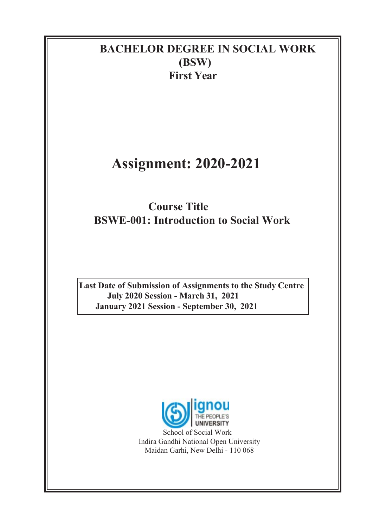### BACHELOR DEGREE IN SOCIAL WORK (BSW) First Year

# Assignment: 2020-2021

## Course Title BSWE-001: Introduction to Social Work

Last Date of Submission of Assignments to the Study Centre July 2020 Session - March 31, 2021 January 2021 Session - September 30, 2021



School of Social Work Indira Gandhi National Open University Maidan Garhi, New Delhi - 110 068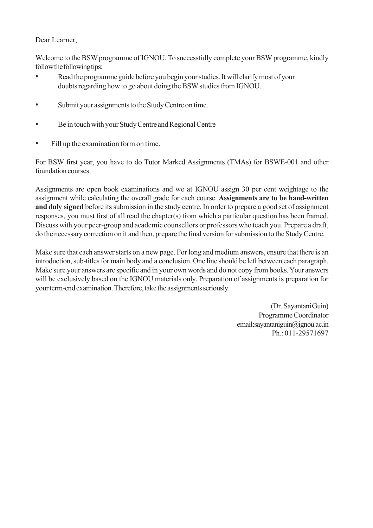#### Dear Learner,

Welcome to the BSW programme of IGNOU. To successfully complete your BSW programme, kindly follow the following tips:

- Read the programme guide before you begin your studies. It will clarify most of your doubts regarding how to go about doing the BSW studies from IGNOU.
- Submit your assignments to the Study Centre on time.
- Be in touch with your Study Centre and Regional Centre
- Fill up the examination form on time.

For BSW first year, you have to do Tutor Marked Assignments (TMAs) for BSWE-001 and other foundation courses.

Assignments are open book examinations and we at IGNOU assign 30 per cent weightage to the assignment while calculating the overall grade for each course. Assignments are to be hand-written and duly signed before its submission in the study centre. In order to prepare a good set of assignment responses, you must first of all read the chapter(s) from which a particular question has been framed. Discuss with your peer-group and academic counsellors or professors who teach you. Prepare a draft, do the necessary correction on it and then, prepare the final version for submission to the Study Centre.

Make sure that each answer starts on a new page. For long and medium answers, ensure that there is an introduction, sub-titles for main body and a conclusion. One line should be left between each paragraph. Make sure your answers are specific and in your own words and do not copy from books. Your answers will be exclusively based on the IGNOU materials only. Preparation of assignments is preparation for your term-end examination. Therefore, take the assignments seriously.

> (Dr. Sayantani Guin) Programme Coordinator email: sayantaniguin@ignou.ac.in Ph.: 011-29571697